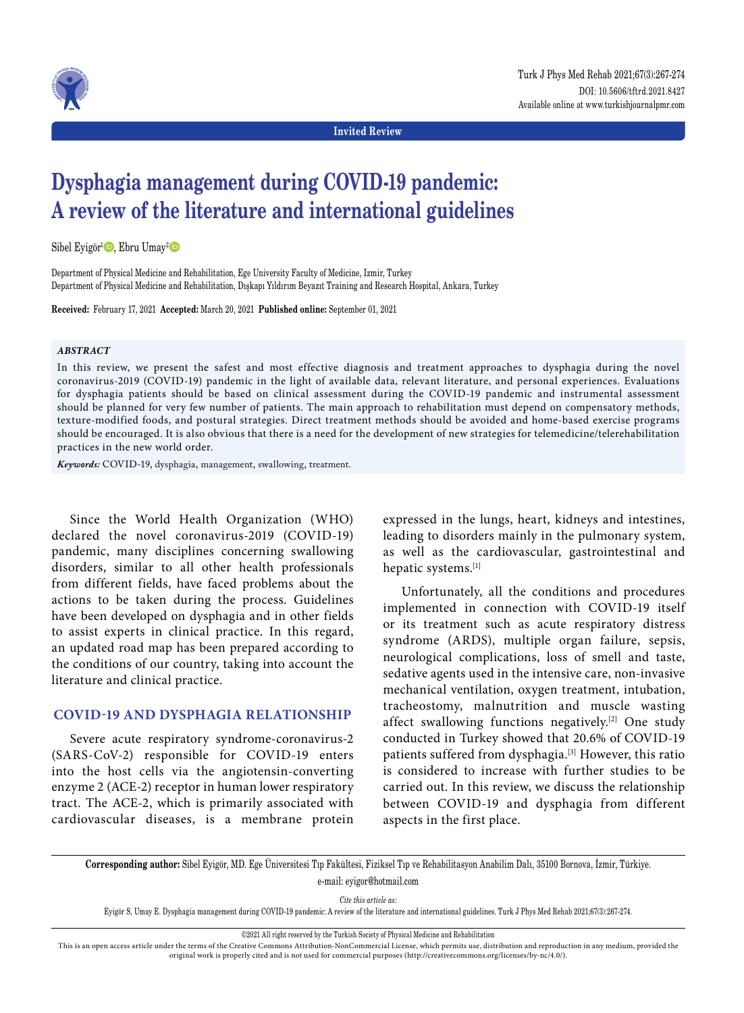

**Invited Review**

# **Dysphagia management during COVID-19 pandemic: A review of the literature and international guidelines**

Sibel Eyigör<sup>1</sup><sup>(b)</sup>, Ebru Umay<sup>2</sup><sup>(b)</sup>

Department of Physical Medicine and Rehabilitation, Ege University Faculty of Medicine, Izmir, Turkey Department of Physical Medicine and Rehabilitation, Dışkapı Yıldırım Beyazıt Training and Research Hospital, Ankara, Turkey

**Received:** February 17, 2021 **Accepted:** March 20, 2021 **Published online:** September 01, 2021

#### *ABSTRACT*

In this review, we present the safest and most effective diagnosis and treatment approaches to dysphagia during the novel coronavirus-2019 (COVID-19) pandemic in the light of available data, relevant literature, and personal experiences. Evaluations for dysphagia patients should be based on clinical assessment during the COVID-19 pandemic and instrumental assessment should be planned for very few number of patients. The main approach to rehabilitation must depend on compensatory methods, texture-modified foods, and postural strategies. Direct treatment methods should be avoided and home-based exercise programs should be encouraged. It is also obvious that there is a need for the development of new strategies for telemedicine/telerehabilitation practices in the new world order.

*Keywords:* COVID-19, dysphagia, management, swallowing, treatment.

Since the World Health Organization (WHO) declared the novel coronavirus-2019 (COVID-19) pandemic, many disciplines concerning swallowing disorders, similar to all other health professionals from different fields, have faced problems about the actions to be taken during the process. Guidelines have been developed on dysphagia and in other fields to assist experts in clinical practice. In this regard, an updated road map has been prepared according to the conditions of our country, taking into account the literature and clinical practice.

# **COVID-19 and dysphagia relationship**

Severe acute respiratory syndrome-coronavirus-2 (SARS-CoV-2) responsible for COVID-19 enters into the host cells via the angiotensin-converting enzyme 2 (ACE-2) receptor in human lower respiratory tract. The ACE-2, which is primarily associated with cardiovascular diseases, is a membrane protein

expressed in the lungs, heart, kidneys and intestines, leading to disorders mainly in the pulmonary system, as well as the cardiovascular, gastrointestinal and hepatic systems.[1]

Unfortunately, all the conditions and procedures implemented in connection with COVID-19 itself or its treatment such as acute respiratory distress syndrome (ARDS), multiple organ failure, sepsis, neurological complications, loss of smell and taste, sedative agents used in the intensive care, non-invasive mechanical ventilation, oxygen treatment, intubation, tracheostomy, malnutrition and muscle wasting affect swallowing functions negatively.[2] One study conducted in Turkey showed that 20.6% of COVID-19 patients suffered from dysphagia.<sup>[3]</sup> However, this ratio is considered to increase with further studies to be carried out. In this review, we discuss the relationship between COVID-19 and dysphagia from different aspects in the first place.

**Corresponding author:** Sibel Eyigör, MD. Ege Üniversitesi Tıp Fakültesi, Fiziksel Tıp ve Rehabilitasyon Anabilim Dalı, 35100 Bornova, İzmir, Türkiye. e-mail: eyigor@hotmail.com

*Cite this article as:*

Eyigör S, Umay E. Dysphagia management during COVID-19 pandemic: A review of the literature and international guidelines. Turk J Phys Med Rehab 2021;67(3):267-274.

©2021 All right reserved by the Turkish Society of Physical Medicine and Rehabilitation

This is an open access article under the terms of the Creative Commons Attribution-NonCommercial License, which permits use, distribution and reproduction in any medium, provided the original work is properly cited and is not used for commercial purposes (http://creativecommons.org/licenses/by-nc/4.0/).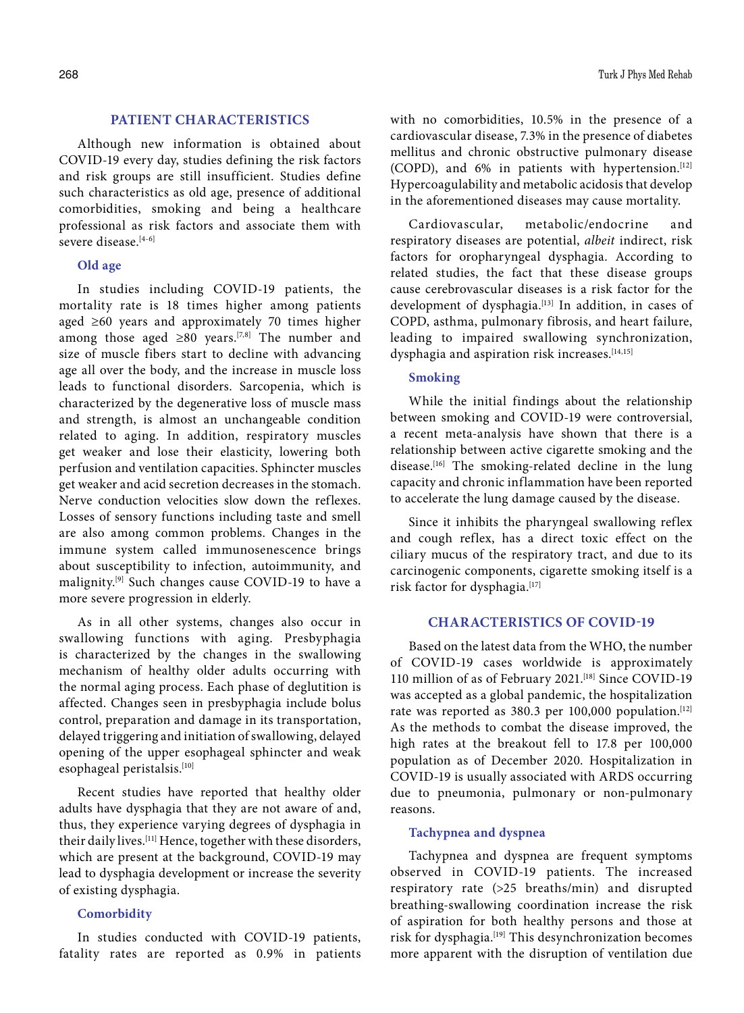# **Patient characteristics**

Although new information is obtained about COVID-19 every day, studies defining the risk factors and risk groups are still insufficient. Studies define such characteristics as old age, presence of additional comorbidities, smoking and being a healthcare professional as risk factors and associate them with severe disease.[4-6]

## **Old age**

In studies including COVID-19 patients, the mortality rate is 18 times higher among patients aged ≥60 years and approximately 70 times higher among those aged  $\geq 80$  years.<sup>[7,8]</sup> The number and size of muscle fibers start to decline with advancing age all over the body, and the increase in muscle loss leads to functional disorders. Sarcopenia, which is characterized by the degenerative loss of muscle mass and strength, is almost an unchangeable condition related to aging. In addition, respiratory muscles get weaker and lose their elasticity, lowering both perfusion and ventilation capacities. Sphincter muscles get weaker and acid secretion decreases in the stomach. Nerve conduction velocities slow down the reflexes. Losses of sensory functions including taste and smell are also among common problems. Changes in the immune system called immunosenescence brings about susceptibility to infection, autoimmunity, and malignity.[9] Such changes cause COVID-19 to have a more severe progression in elderly.

As in all other systems, changes also occur in swallowing functions with aging. Presbyphagia is characterized by the changes in the swallowing mechanism of healthy older adults occurring with the normal aging process. Each phase of deglutition is affected. Changes seen in presbyphagia include bolus control, preparation and damage in its transportation, delayed triggering and initiation of swallowing, delayed opening of the upper esophageal sphincter and weak esophageal peristalsis.[10]

Recent studies have reported that healthy older adults have dysphagia that they are not aware of and, thus, they experience varying degrees of dysphagia in their daily lives.[11] Hence, together with these disorders, which are present at the background, COVID-19 may lead to dysphagia development or increase the severity of existing dysphagia.

# **Comorbidity**

In studies conducted with COVID-19 patients, fatality rates are reported as 0.9% in patients with no comorbidities, 10.5% in the presence of a cardiovascular disease, 7.3% in the presence of diabetes mellitus and chronic obstructive pulmonary disease (COPD), and  $6\%$  in patients with hypertension.<sup>[12]</sup> Hypercoagulability and metabolic acidosis that develop in the aforementioned diseases may cause mortality.

Cardiovascular, metabolic/endocrine and respiratory diseases are potential, *albeit* indirect, risk factors for oropharyngeal dysphagia. According to related studies, the fact that these disease groups cause cerebrovascular diseases is a risk factor for the development of dysphagia.<sup>[13]</sup> In addition, in cases of COPD, asthma, pulmonary fibrosis, and heart failure, leading to impaired swallowing synchronization, dysphagia and aspiration risk increases.<sup>[14,15]</sup>

## **Smoking**

While the initial findings about the relationship between smoking and COVID-19 were controversial, a recent meta-analysis have shown that there is a relationship between active cigarette smoking and the disease.<sup>[16]</sup> The smoking-related decline in the lung capacity and chronic inflammation have been reported to accelerate the lung damage caused by the disease.

Since it inhibits the pharyngeal swallowing reflex and cough reflex, has a direct toxic effect on the ciliary mucus of the respiratory tract, and due to its carcinogenic components, cigarette smoking itself is a risk factor for dysphagia.[17]

# **Characteristics of COVID-19**

Based on the latest data from the WHO, the number of COVID-19 cases worldwide is approximately 110 million of as of February 2021.[18] Since COVID-19 was accepted as a global pandemic, the hospitalization rate was reported as 380.3 per 100,000 population.<sup>[12]</sup> As the methods to combat the disease improved, the high rates at the breakout fell to 17.8 per 100,000 population as of December 2020. Hospitalization in COVID-19 is usually associated with ARDS occurring due to pneumonia, pulmonary or non-pulmonary reasons.

## **Tachypnea and dyspnea**

Tachypnea and dyspnea are frequent symptoms observed in COVID-19 patients. The increased respiratory rate (>25 breaths/min) and disrupted breathing-swallowing coordination increase the risk of aspiration for both healthy persons and those at risk for dysphagia.[19] This desynchronization becomes more apparent with the disruption of ventilation due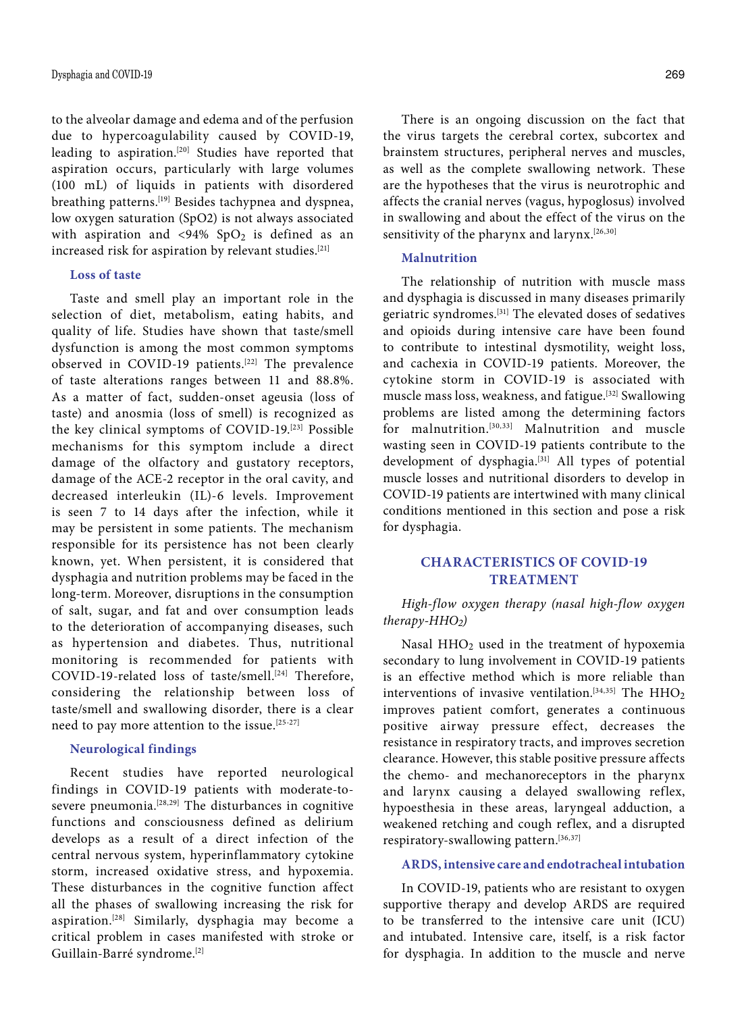to the alveolar damage and edema and of the perfusion due to hypercoagulability caused by COVID-19, leading to aspiration.[20] Studies have reported that aspiration occurs, particularly with large volumes (100 mL) of liquids in patients with disordered breathing patterns.[19] Besides tachypnea and dyspnea, low oxygen saturation (SpO2) is not always associated with aspiration and  $\langle 94\% \rangle$  SpO<sub>2</sub> is defined as an increased risk for aspiration by relevant studies.[21]

### **Loss of taste**

Taste and smell play an important role in the selection of diet, metabolism, eating habits, and quality of life. Studies have shown that taste/smell dysfunction is among the most common symptoms observed in COVID-19 patients.<sup>[22]</sup> The prevalence of taste alterations ranges between 11 and 88.8%. As a matter of fact, sudden-onset ageusia (loss of taste) and anosmia (loss of smell) is recognized as the key clinical symptoms of COVID-19.[23] Possible mechanisms for this symptom include a direct damage of the olfactory and gustatory receptors, damage of the ACE-2 receptor in the oral cavity, and decreased interleukin (IL)-6 levels. Improvement is seen 7 to 14 days after the infection, while it may be persistent in some patients. The mechanism responsible for its persistence has not been clearly known, yet. When persistent, it is considered that dysphagia and nutrition problems may be faced in the long-term. Moreover, disruptions in the consumption of salt, sugar, and fat and over consumption leads to the deterioration of accompanying diseases, such as hypertension and diabetes. Thus, nutritional monitoring is recommended for patients with COVID-19-related loss of taste/smell.<sup>[24]</sup> Therefore, considering the relationship between loss of taste/smell and swallowing disorder, there is a clear need to pay more attention to the issue.[25-27]

# **Neurological findings**

Recent studies have reported neurological findings in COVID-19 patients with moderate-tosevere pneumonia.[28,29] The disturbances in cognitive functions and consciousness defined as delirium develops as a result of a direct infection of the central nervous system, hyperinflammatory cytokine storm, increased oxidative stress, and hypoxemia. These disturbances in the cognitive function affect all the phases of swallowing increasing the risk for aspiration.[28] Similarly, dysphagia may become a critical problem in cases manifested with stroke or Guillain-Barré syndrome.[2]

There is an ongoing discussion on the fact that the virus targets the cerebral cortex, subcortex and brainstem structures, peripheral nerves and muscles, as well as the complete swallowing network. These are the hypotheses that the virus is neurotrophic and affects the cranial nerves (vagus, hypoglosus) involved in swallowing and about the effect of the virus on the sensitivity of the pharynx and larynx.<sup>[26,30]</sup>

# **Malnutrition**

The relationship of nutrition with muscle mass and dysphagia is discussed in many diseases primarily geriatric syndromes.[31] The elevated doses of sedatives and opioids during intensive care have been found to contribute to intestinal dysmotility, weight loss, and cachexia in COVID-19 patients. Moreover, the cytokine storm in COVID-19 is associated with muscle mass loss, weakness, and fatigue.[32] Swallowing problems are listed among the determining factors for malnutrition.<sup>[30,33]</sup> Malnutrition and muscle wasting seen in COVID-19 patients contribute to the development of dysphagia.<sup>[31]</sup> All types of potential muscle losses and nutritional disorders to develop in COVID-19 patients are intertwined with many clinical conditions mentioned in this section and pose a risk for dysphagia.

# **Characteristics of COVID-19 TREATMENT**

*High-flow oxygen therapy (nasal high-flow oxygen therapy-HHO2)*

Nasal HHO2 used in the treatment of hypoxemia secondary to lung involvement in COVID-19 patients is an effective method which is more reliable than interventions of invasive ventilation.<sup>[34,35]</sup> The  $HHO<sub>2</sub>$ improves patient comfort, generates a continuous positive airway pressure effect, decreases the resistance in respiratory tracts, and improves secretion clearance. However, this stable positive pressure affects the chemo- and mechanoreceptors in the pharynx and larynx causing a delayed swallowing reflex, hypoesthesia in these areas, laryngeal adduction, a weakened retching and cough reflex, and a disrupted respiratory-swallowing pattern.[36,37]

## **ARDS, intensive care and endotracheal intubation**

In COVID-19, patients who are resistant to oxygen supportive therapy and develop ARDS are required to be transferred to the intensive care unit (ICU) and intubated. Intensive care, itself, is a risk factor for dysphagia. In addition to the muscle and nerve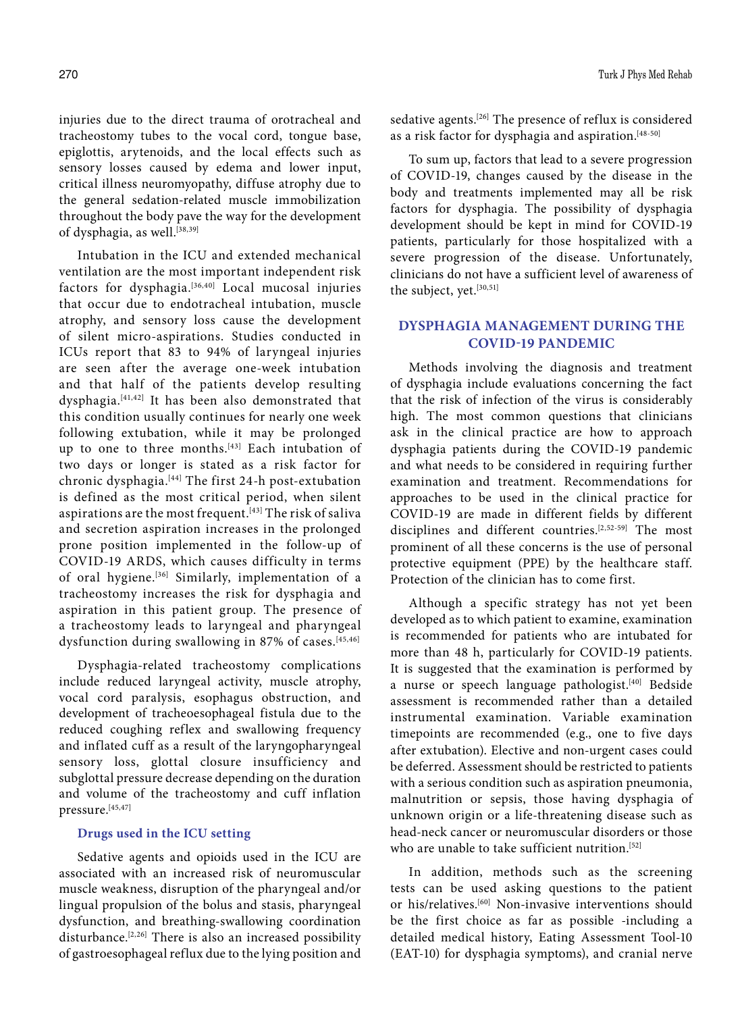injuries due to the direct trauma of orotracheal and tracheostomy tubes to the vocal cord, tongue base, epiglottis, arytenoids, and the local effects such as sensory losses caused by edema and lower input, critical illness neuromyopathy, diffuse atrophy due to the general sedation-related muscle immobilization throughout the body pave the way for the development of dysphagia, as well.<sup>[38,39]</sup>

Intubation in the ICU and extended mechanical ventilation are the most important independent risk factors for dysphagia.[36,40] Local mucosal injuries that occur due to endotracheal intubation, muscle atrophy, and sensory loss cause the development of silent micro-aspirations. Studies conducted in ICUs report that 83 to 94% of laryngeal injuries are seen after the average one-week intubation and that half of the patients develop resulting dysphagia.[41,42] It has been also demonstrated that this condition usually continues for nearly one week following extubation, while it may be prolonged up to one to three months.[43] Each intubation of two days or longer is stated as a risk factor for chronic dysphagia.[44] The first 24-h post-extubation is defined as the most critical period, when silent aspirations are the most frequent.<sup>[43]</sup> The risk of saliva and secretion aspiration increases in the prolonged prone position implemented in the follow-up of COVID-19 ARDS, which causes difficulty in terms of oral hygiene.[36] Similarly, implementation of a tracheostomy increases the risk for dysphagia and aspiration in this patient group. The presence of a tracheostomy leads to laryngeal and pharyngeal dysfunction during swallowing in 87% of cases.<sup>[45,46]</sup>

Dysphagia-related tracheostomy complications include reduced laryngeal activity, muscle atrophy, vocal cord paralysis, esophagus obstruction, and development of tracheoesophageal fistula due to the reduced coughing reflex and swallowing frequency and inflated cuff as a result of the laryngopharyngeal sensory loss, glottal closure insufficiency and subglottal pressure decrease depending on the duration and volume of the tracheostomy and cuff inflation pressure.[45,47]

# **Drugs used in the ICU setting**

Sedative agents and opioids used in the ICU are associated with an increased risk of neuromuscular muscle weakness, disruption of the pharyngeal and/or lingual propulsion of the bolus and stasis, pharyngeal dysfunction, and breathing-swallowing coordination disturbance.<sup>[2,26]</sup> There is also an increased possibility of gastroesophageal reflux due to the lying position and sedative agents.<sup>[26]</sup> The presence of reflux is considered as a risk factor for dysphagia and aspiration.<sup>[48-50]</sup>

To sum up, factors that lead to a severe progression of COVID-19, changes caused by the disease in the body and treatments implemented may all be risk factors for dysphagia. The possibility of dysphagia development should be kept in mind for COVID-19 patients, particularly for those hospitalized with a severe progression of the disease. Unfortunately, clinicians do not have a sufficient level of awareness of the subject, yet.<sup>[30,51]</sup>

# **Dysphagia management during the COVID-19 pandemic**

Methods involving the diagnosis and treatment of dysphagia include evaluations concerning the fact that the risk of infection of the virus is considerably high. The most common questions that clinicians ask in the clinical practice are how to approach dysphagia patients during the COVID-19 pandemic and what needs to be considered in requiring further examination and treatment. Recommendations for approaches to be used in the clinical practice for COVID-19 are made in different fields by different disciplines and different countries.<sup>[2,52-59]</sup> The most prominent of all these concerns is the use of personal protective equipment (PPE) by the healthcare staff. Protection of the clinician has to come first.

Although a specific strategy has not yet been developed as to which patient to examine, examination is recommended for patients who are intubated for more than 48 h, particularly for COVID-19 patients. It is suggested that the examination is performed by a nurse or speech language pathologist.<sup>[40]</sup> Bedside assessment is recommended rather than a detailed instrumental examination. Variable examination timepoints are recommended (e.g., one to five days after extubation). Elective and non-urgent cases could be deferred. Assessment should be restricted to patients with a serious condition such as aspiration pneumonia, malnutrition or sepsis, those having dysphagia of unknown origin or a life-threatening disease such as head-neck cancer or neuromuscular disorders or those who are unable to take sufficient nutrition.<sup>[52]</sup>

In addition, methods such as the screening tests can be used asking questions to the patient or his/relatives.[60] Non-invasive interventions should be the first choice as far as possible -including a detailed medical history, Eating Assessment Tool-10 (EAT-10) for dysphagia symptoms), and cranial nerve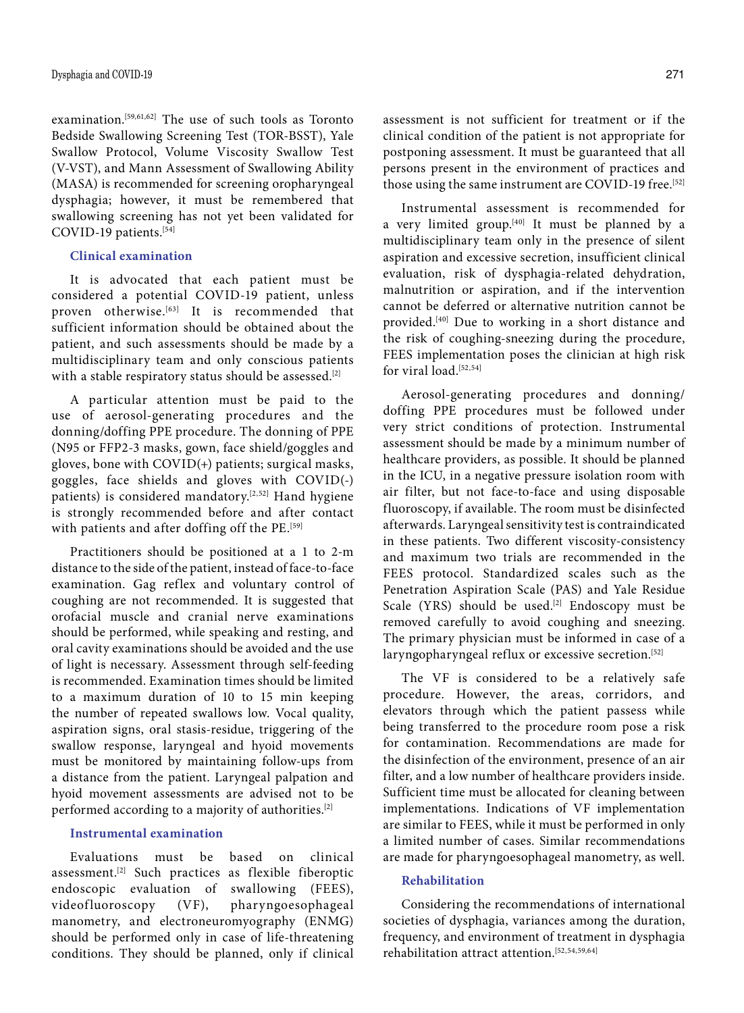examination.<sup>[59,61,62]</sup> The use of such tools as Toronto Bedside Swallowing Screening Test (TOR-BSST), Yale Swallow Protocol, Volume Viscosity Swallow Test (V-VST), and Mann Assessment of Swallowing Ability (MASA) is recommended for screening oropharyngeal dysphagia; however, it must be remembered that swallowing screening has not yet been validated for COVID-19 patients.[54]

## **Clinical examination**

It is advocated that each patient must be considered a potential COVID-19 patient, unless proven otherwise.<sup>[63]</sup> It is recommended that sufficient information should be obtained about the patient, and such assessments should be made by a multidisciplinary team and only conscious patients with a stable respiratory status should be assessed.<sup>[2]</sup>

A particular attention must be paid to the use of aerosol-generating procedures and the donning/doffing PPE procedure. The donning of PPE (N95 or FFP2-3 masks, gown, face shield/goggles and gloves, bone with COVID(+) patients; surgical masks, goggles, face shields and gloves with COVID(-) patients) is considered mandatory.<sup>[2,52]</sup> Hand hygiene is strongly recommended before and after contact with patients and after doffing off the PE.<sup>[59]</sup>

Practitioners should be positioned at a 1 to 2-m distance to the side of the patient, instead of face-to-face examination. Gag reflex and voluntary control of coughing are not recommended. It is suggested that orofacial muscle and cranial nerve examinations should be performed, while speaking and resting, and oral cavity examinations should be avoided and the use of light is necessary. Assessment through self-feeding is recommended. Examination times should be limited to a maximum duration of 10 to 15 min keeping the number of repeated swallows low. Vocal quality, aspiration signs, oral stasis-residue, triggering of the swallow response, laryngeal and hyoid movements must be monitored by maintaining follow-ups from a distance from the patient. Laryngeal palpation and hyoid movement assessments are advised not to be performed according to a majority of authorities.[2]

## **Instrumental examination**

Evaluations must be based on clinical assessment.[2] Such practices as flexible fiberoptic endoscopic evaluation of swallowing (FEES), videofluoroscopy (VF), pharyngoesophageal manometry, and electroneuromyography (ENMG) should be performed only in case of life-threatening conditions. They should be planned, only if clinical

assessment is not sufficient for treatment or if the clinical condition of the patient is not appropriate for postponing assessment. It must be guaranteed that all persons present in the environment of practices and those using the same instrument are COVID-19 free.<sup>[52]</sup>

Instrumental assessment is recommended for a very limited group. $[40]$  It must be planned by a multidisciplinary team only in the presence of silent aspiration and excessive secretion, insufficient clinical evaluation, risk of dysphagia-related dehydration, malnutrition or aspiration, and if the intervention cannot be deferred or alternative nutrition cannot be provided.[40] Due to working in a short distance and the risk of coughing-sneezing during the procedure, FEES implementation poses the clinician at high risk for viral load.<sup>[52,54]</sup>

Aerosol-generating procedures and donning/ doffing PPE procedures must be followed under very strict conditions of protection. Instrumental assessment should be made by a minimum number of healthcare providers, as possible. It should be planned in the ICU, in a negative pressure isolation room with air filter, but not face-to-face and using disposable fluoroscopy, if available. The room must be disinfected afterwards. Laryngeal sensitivity test is contraindicated in these patients. Two different viscosity-consistency and maximum two trials are recommended in the FEES protocol. Standardized scales such as the Penetration Aspiration Scale (PAS) and Yale Residue Scale (YRS) should be used.<sup>[2]</sup> Endoscopy must be removed carefully to avoid coughing and sneezing. The primary physician must be informed in case of a laryngopharyngeal reflux or excessive secretion.<sup>[52]</sup>

The VF is considered to be a relatively safe procedure. However, the areas, corridors, and elevators through which the patient passess while being transferred to the procedure room pose a risk for contamination. Recommendations are made for the disinfection of the environment, presence of an air filter, and a low number of healthcare providers inside. Sufficient time must be allocated for cleaning between implementations. Indications of VF implementation are similar to FEES, while it must be performed in only a limited number of cases. Similar recommendations are made for pharyngoesophageal manometry, as well.

## **Rehabilitation**

Considering the recommendations of international societies of dysphagia, variances among the duration, frequency, and environment of treatment in dysphagia rehabilitation attract attention.[52,54,59,64]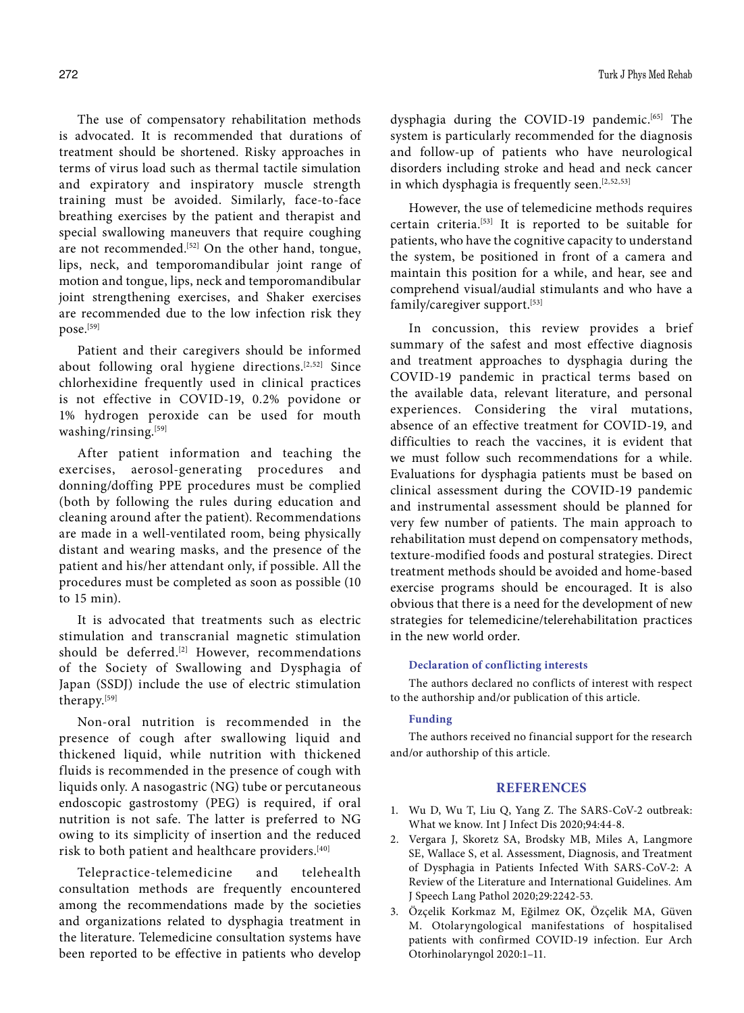The use of compensatory rehabilitation methods is advocated. It is recommended that durations of treatment should be shortened. Risky approaches in terms of virus load such as thermal tactile simulation and expiratory and inspiratory muscle strength training must be avoided. Similarly, face-to-face breathing exercises by the patient and therapist and special swallowing maneuvers that require coughing are not recommended.<sup>[52]</sup> On the other hand, tongue, lips, neck, and temporomandibular joint range of motion and tongue, lips, neck and temporomandibular joint strengthening exercises, and Shaker exercises are recommended due to the low infection risk they pose.[59]

Patient and their caregivers should be informed about following oral hygiene directions.[2,52] Since chlorhexidine frequently used in clinical practices is not effective in COVID-19, 0.2% povidone or 1% hydrogen peroxide can be used for mouth washing/rinsing.[59]

After patient information and teaching the exercises, aerosol-generating procedures and donning/doffing PPE procedures must be complied (both by following the rules during education and cleaning around after the patient). Recommendations are made in a well-ventilated room, being physically distant and wearing masks, and the presence of the patient and his/her attendant only, if possible. All the procedures must be completed as soon as possible (10 to 15 min).

It is advocated that treatments such as electric stimulation and transcranial magnetic stimulation should be deferred.<sup>[2]</sup> However, recommendations of the Society of Swallowing and Dysphagia of Japan (SSDJ) include the use of electric stimulation therapy.[59]

Non-oral nutrition is recommended in the presence of cough after swallowing liquid and thickened liquid, while nutrition with thickened fluids is recommended in the presence of cough with liquids only. A nasogastric (NG) tube or percutaneous endoscopic gastrostomy (PEG) is required, if oral nutrition is not safe. The latter is preferred to NG owing to its simplicity of insertion and the reduced risk to both patient and healthcare providers.[40]

Telepractice-telemedicine and telehealth consultation methods are frequently encountered among the recommendations made by the societies and organizations related to dysphagia treatment in the literature. Telemedicine consultation systems have been reported to be effective in patients who develop dysphagia during the COVID-19 pandemic.<sup>[65]</sup> The system is particularly recommended for the diagnosis and follow-up of patients who have neurological disorders including stroke and head and neck cancer in which dysphagia is frequently seen.<sup>[2,52,53]</sup>

However, the use of telemedicine methods requires certain criteria.[53] It is reported to be suitable for patients, who have the cognitive capacity to understand the system, be positioned in front of a camera and maintain this position for a while, and hear, see and comprehend visual/audial stimulants and who have a family/caregiver support.[53]

In concussion, this review provides a brief summary of the safest and most effective diagnosis and treatment approaches to dysphagia during the COVID-19 pandemic in practical terms based on the available data, relevant literature, and personal experiences. Considering the viral mutations, absence of an effective treatment for COVID-19, and difficulties to reach the vaccines, it is evident that we must follow such recommendations for a while. Evaluations for dysphagia patients must be based on clinical assessment during the COVID-19 pandemic and instrumental assessment should be planned for very few number of patients. The main approach to rehabilitation must depend on compensatory methods, texture-modified foods and postural strategies. Direct treatment methods should be avoided and home-based exercise programs should be encouraged. It is also obvious that there is a need for the development of new strategies for telemedicine/telerehabilitation practices in the new world order.

## **Declaration of conflicting interests**

The authors declared no conflicts of interest with respect to the authorship and/or publication of this article.

## **Funding**

The authors received no financial support for the research and/or authorship of this article.

#### **REFERENCES**

- 1. Wu D, Wu T, Liu Q, Yang Z. The SARS-CoV-2 outbreak: What we know. Int J Infect Dis 2020;94:44-8.
- 2. Vergara J, Skoretz SA, Brodsky MB, Miles A, Langmore SE, Wallace S, et al. Assessment, Diagnosis, and Treatment of Dysphagia in Patients Infected With SARS-CoV-2: A Review of the Literature and International Guidelines. Am J Speech Lang Pathol 2020;29:2242-53.
- 3. Özçelik Korkmaz M, Eğilmez OK, Özçelik MA, Güven M. Otolaryngological manifestations of hospitalised patients with confirmed COVID-19 infection. Eur Arch Otorhinolaryngol 2020:1–11.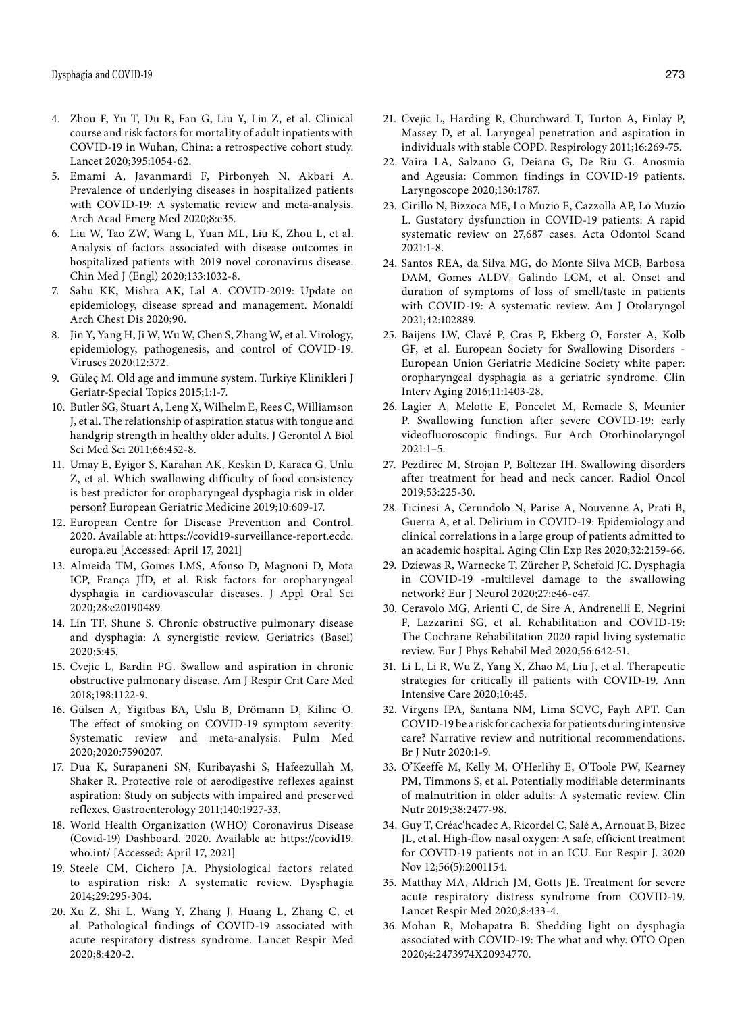- 4. Zhou F, Yu T, Du R, Fan G, Liu Y, Liu Z, et al. Clinical course and risk factors for mortality of adult inpatients with COVID-19 in Wuhan, China: a retrospective cohort study. Lancet 2020;395:1054-62.
- 5. Emami A, Javanmardi F, Pirbonyeh N, Akbari A. Prevalence of underlying diseases in hospitalized patients with COVID-19: A systematic review and meta-analysis. Arch Acad Emerg Med 2020;8:e35.
- 6. Liu W, Tao ZW, Wang L, Yuan ML, Liu K, Zhou L, et al. Analysis of factors associated with disease outcomes in hospitalized patients with 2019 novel coronavirus disease. Chin Med J (Engl) 2020;133:1032-8.
- 7. Sahu KK, Mishra AK, Lal A. COVID-2019: Update on epidemiology, disease spread and management. Monaldi Arch Chest Dis 2020;90.
- 8. Jin Y, Yang H, Ji W, Wu W, Chen S, Zhang W, et al. Virology, epidemiology, pathogenesis, and control of COVID-19. Viruses 2020;12:372.
- 9. Güleç M. Old age and immune system. Turkiye Klinikleri J Geriatr-Special Topics 2015;1:1-7.
- 10. Butler SG, Stuart A, Leng X, Wilhelm E, Rees C, Williamson J, et al. The relationship of aspiration status with tongue and handgrip strength in healthy older adults. J Gerontol A Biol Sci Med Sci 2011;66:452-8.
- 11. Umay E, Eyigor S, Karahan AK, Keskin D, Karaca G, Unlu Z, et al. Which swallowing difficulty of food consistency is best predictor for oropharyngeal dysphagia risk in older person? European Geriatric Medicine 2019;10:609-17.
- 12. European Centre for Disease Prevention and Control. 2020. Available at: https://covid19-surveillance-report.ecdc. europa.eu [Accessed: April 17, 2021]
- 13. Almeida TM, Gomes LMS, Afonso D, Magnoni D, Mota ICP, França JÍD, et al. Risk factors for oropharyngeal dysphagia in cardiovascular diseases. J Appl Oral Sci 2020;28:e20190489.
- 14. Lin TF, Shune S. Chronic obstructive pulmonary disease and dysphagia: A synergistic review. Geriatrics (Basel) 2020;5:45.
- 15. Cvejic L, Bardin PG. Swallow and aspiration in chronic obstructive pulmonary disease. Am J Respir Crit Care Med 2018;198:1122-9.
- 16. Gülsen A, Yigitbas BA, Uslu B, Drömann D, Kilinc O. The effect of smoking on COVID-19 symptom severity: Systematic review and meta-analysis. Pulm Med 2020;2020:7590207.
- 17. Dua K, Surapaneni SN, Kuribayashi S, Hafeezullah M, Shaker R. Protective role of aerodigestive reflexes against aspiration: Study on subjects with impaired and preserved reflexes. Gastroenterology 2011;140:1927-33.
- 18. World Health Organization (WHO) Coronavirus Disease (Covid-19) Dashboard. 2020. Available at: https://covid19. who.int/ [Accessed: April 17, 2021]
- 19. Steele CM, Cichero JA. Physiological factors related to aspiration risk: A systematic review. Dysphagia 2014;29:295-304.
- 20. Xu Z, Shi L, Wang Y, Zhang J, Huang L, Zhang C, et al. Pathological findings of COVID-19 associated with acute respiratory distress syndrome. Lancet Respir Med 2020;8:420-2.
- 21. Cvejic L, Harding R, Churchward T, Turton A, Finlay P, Massey D, et al. Laryngeal penetration and aspiration in individuals with stable COPD. Respirology 2011;16:269-75.
- 22. Vaira LA, Salzano G, Deiana G, De Riu G. Anosmia and Ageusia: Common findings in COVID-19 patients. Laryngoscope 2020;130:1787.
- 23. Cirillo N, Bizzoca ME, Lo Muzio E, Cazzolla AP, Lo Muzio L. Gustatory dysfunction in COVID-19 patients: A rapid systematic review on 27,687 cases. Acta Odontol Scand 2021:1-8.
- 24. Santos REA, da Silva MG, do Monte Silva MCB, Barbosa DAM, Gomes ALDV, Galindo LCM, et al. Onset and duration of symptoms of loss of smell/taste in patients with COVID-19: A systematic review. Am J Otolaryngol 2021;42:102889.
- 25. Baijens LW, Clavé P, Cras P, Ekberg O, Forster A, Kolb GF, et al. European Society for Swallowing Disorders - European Union Geriatric Medicine Society white paper: oropharyngeal dysphagia as a geriatric syndrome. Clin Interv Aging 2016;11:1403-28.
- 26. Lagier A, Melotte E, Poncelet M, Remacle S, Meunier P. Swallowing function after severe COVID-19: early videofluoroscopic findings. Eur Arch Otorhinolaryngol  $2021:1-5$ .
- 27. Pezdirec M, Strojan P, Boltezar IH. Swallowing disorders after treatment for head and neck cancer. Radiol Oncol 2019;53:225-30.
- 28. Ticinesi A, Cerundolo N, Parise A, Nouvenne A, Prati B, Guerra A, et al. Delirium in COVID-19: Epidemiology and clinical correlations in a large group of patients admitted to an academic hospital. Aging Clin Exp Res 2020;32:2159-66.
- 29. Dziewas R, Warnecke T, Zürcher P, Schefold JC. Dysphagia in COVID-19 -multilevel damage to the swallowing network? Eur J Neurol 2020;27:e46-e47.
- 30. Ceravolo MG, Arienti C, de Sire A, Andrenelli E, Negrini F, Lazzarini SG, et al. Rehabilitation and COVID-19: The Cochrane Rehabilitation 2020 rapid living systematic review. Eur J Phys Rehabil Med 2020;56:642-51.
- 31. Li L, Li R, Wu Z, Yang X, Zhao M, Liu J, et al. Therapeutic strategies for critically ill patients with COVID-19. Ann Intensive Care 2020;10:45.
- 32. Virgens IPA, Santana NM, Lima SCVC, Fayh APT. Can COVID-19 be a risk for cachexia for patients during intensive care? Narrative review and nutritional recommendations. Br J Nutr 2020:1-9.
- 33. O'Keeffe M, Kelly M, O'Herlihy E, O'Toole PW, Kearney PM, Timmons S, et al. Potentially modifiable determinants of malnutrition in older adults: A systematic review. Clin Nutr 2019;38:2477-98.
- 34. Guy T, Créac'hcadec A, Ricordel C, Salé A, Arnouat B, Bizec JL, et al. High-flow nasal oxygen: A safe, efficient treatment for COVID-19 patients not in an ICU. Eur Respir J. 2020 Nov 12;56(5):2001154.
- 35. Matthay MA, Aldrich JM, Gotts JE. Treatment for severe acute respiratory distress syndrome from COVID-19. Lancet Respir Med 2020;8:433-4.
- 36. Mohan R, Mohapatra B. Shedding light on dysphagia associated with COVID-19: The what and why. OTO Open 2020;4:2473974X20934770.